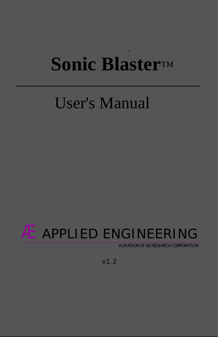# **[Sonic Blaster](#page-3-0)**™

# User's Manual

# Æ APPLIED ENGINEERING

A DIVISION OF AE RESEARCH CORPORATION

v1.2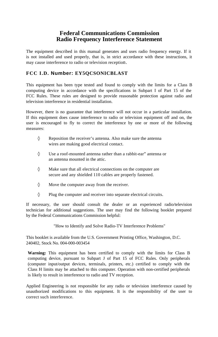#### **Federal Communications Commission Radio Frequency Interference Statement**

The equipment described in this manual generates and uses radio frequency energy. If it is not installed and used properly, that is, in strict accordance with these instructions, it may cause interference to radio or television reception.

#### **FCC I.D. Number: EY5QCSONICBLAST**

This equipment has been type tested and found to comply with the limits for a Class B computing device in accordance with the specifications in Subpart I of Part 15 of the FCC Rules. These rules are designed to provide reasonable protection against radio and television interference in residential installation.

However, there is no guarantee that interference will not occur in a particular installation. If this equipment does cause interference to radio or television equipment off and on, the user is encouraged to fly to correct the interference by one or more of the following measures:

> Reposition the receiver's antenna. Also make sure the antenna wires are making good electrical contact.

Use a roof-mounted antenna rather than a rabbit-ear" antenna or an antenna mounted in the attic.

Make sure that all electrical connections on the computer are secure and any shielded 110 cables are properly fastened.

Move the computer away from the receiver.

Plug the computer and receiver into separate electrical circuits.

If necessary, the user should consult the dealer or an experienced radio/television technician for additional suggestions. The user may find the following booklet prepared by the Federal Communications Commission helpful:

"How to Identify and Solve Radio-TV Interference Problems"

This booklet is available from the U.S. Government Printing Office, Washington, D.C. 240402, Stock No. 004-000-003454

**Warning:** This equipment has been certified to comply with the limits for Class B computing device, pursuant to Subpart J of Part 15 of FCC Rules. Only peripherals (computer input/output devices, terminals, printers, etc.) certified to comply with the Class H limits may be attached to this computer. Operation with non-certified peripherals is likely to result in interference to radio and TV reception.

Applied Engineering is not responsible for any radio or television interference caused by unauthorized modifications to this equipment. It is the responsibility of the user to correct such interference.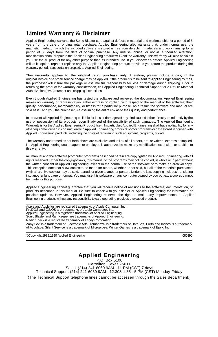# **Limited Warranty & Disclaimer**

 $\overline{a}$ 

 $\overline{a}$ 

 Applied Engineering warrants the Sonic Blaster card against defects in material and workmanship for a period of 5 years from the date of original retail purchase. Applied Engineering also warrants that, under normal use, the magnetic media on which the included software is stored is free from defects in materials and workmanship for a period of 30 days from the date of original purchase. Any misuse, abuse, or non-Æ authorized alteration, modification and/Or repair to the Applied Engineering product will void the warranty. This warranty will also be void if you use the Æ product for any other purpose than its intended use. If you discover a defect, Applied Engineering will, at its option, repair or replace only the Applied Engineering product, provided you return the product during the warranty period. transportation prepaid. to Applied Engineering.

**This warranty applies to the orIgInal retaIl purchase only**. Therefore, please include a copy of the original invoice or a small service charge may be applied. If the product is to be sent to Applied Engineering by mail, the purchaser will insure the package or assume full responsibility for loss or damage during shipping. Prior to returning the product for warranty consideration, call Applied Engineering Technical Support for a Return Material Authorization (RMA) number and shipping instructions.

Even though Applied Engineering has tested the software and reviewed the documentation, Applied Engineering makes no warranty or representation, either express or implied. with respect to the manual or the software; their quality, performance, merchantability, or fitness for a particular purpose. As a result. the software and manual are sold as is.' and you, the purchaser, &e assuming the entire risk as to their quality and performance.

In no event will Applied Engineering be liable for loss or damages of any kind caused either directly or indirectly by the use or possession of its products, even if advised of the possibility of such damages. The Applied Engineering Warranty is for the Applied Engineering Product itself. In particular, Applied Engineering shall have no liability for any other equipment used in conjunction with Applied Engineering products nor for programs or data stored in or used with Applied Engineering products, including the costs of recovering such equipment, programs, or data.

The warranty and remedies set forth above are exclusive and in lieu of all others, oral or written, express or implied. No Applied Engineering dealer, agent, or employee is authorized to make any modification, extension, or addition to this warranty.

 $\overline{a}$ ml. manual and the software (computer programs) described herein are copyrighted by Applied Engineering with all rights reserved. Under the copyright laws, this manual or the programs may not be copied, in whole or in part, without the written consent of Applied Engineering, except in the normal use of the software or to make an archival copy. This exception does not allow copies to be made for others, whether or not sold, but all of the materials purchased (with all archive copies) may be sold, loaned, or given to another person. Under the law, copying includes translating into another language or format. You may use this software on any computer owned by you but extra copies cannot be made for this purpose.

Applied Engineering cannot guarantee that you will receive notice of revisions to the software, documentation, or products described in this manual. Be sure to check with your dealer or Applied Engineering for information on possible updates. However, Applied Engineering reserves the right to make any improvements to Applied Engineering products without any responsibility toward upgrading previously released products.

 $\overline{a}$ Apple and Apple los are registered trademarks of Apple Computer, Inc. ProDOS and GS/OS are trademarks of Apple Computer. Inc. Applied Engineering is a registered trademark of Applied Engineering. Sonic Blaster and RamKeeper are trademarks of Applied Engineering. Radio Shack is a registered trademark of Tandy Corporation. Zany Golf is a trademark of Electronic Arts. Tomahawk is a trademark of DataSoft. Forth and Inches is a trademark of Accolade. Silent Service is a trademark of Microprose. Winter Games is a trademark of Epyx, Inc.

©Copyright 1988.1990 Applied Engineering 080390

#### **Applied Engineering** P.O. Box 5100

Carroliton, Texas 75011 Sales; (214) 241-6060 9AM - 11 PM (CST) 7 days Technical Support: (214) 241-6069 9AM - 12:30& 1:35 - 5 PM (CST) Monday-Friday (The Technical Support telephone lines cannot be accessed through the Sales department.)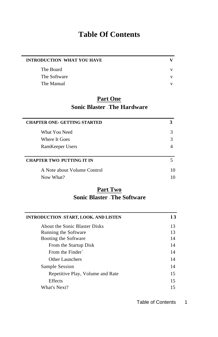# **Table Of Contents**

<span id="page-3-0"></span>

| <b>INTRODUCTION WHAT YOU HAVE</b> |              |
|-----------------------------------|--------------|
| The Board                         | v            |
| The Software                      | v            |
| The Manual                        | $\mathbf{V}$ |

# **Part One Sonic Blaster - The Hardware**

| <b>CHAPTER ONE- GETTING STARTED</b> |    |
|-------------------------------------|----|
| What You Need                       | 3  |
| Where It Goes                       |    |
| RamKeeper Users                     |    |
| <b>CHAPTER TWO PUTTING IT IN</b>    |    |
| A Note about Volume Control         | 10 |
| Now What?                           | 10 |

# **Part Two [Sonic Blaster](#page-19-0) - The Software**

| INTRODUCTION START, LOOK. AND LISTEN | 13 |
|--------------------------------------|----|
| About the Sonic Blaster Disks        | 13 |
| Running the Software                 | 13 |
| Booting the Software                 | 14 |
| From the Startup Disk                | 14 |
| From the Finder                      | 14 |
| Other Launchers                      | 14 |
| Sample Session                       | 14 |
| Repetitive Play, Volume and Rate     | 15 |
| <b>Effects</b>                       | 15 |
| What's Next?                         | 15 |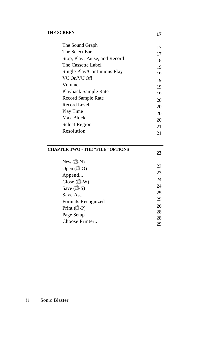| <b>THE SCREEN</b>             | 17 |
|-------------------------------|----|
| The Sound Graph               | 17 |
| The Select Ear                | 17 |
| Stop, Play, Pause, and Record | 18 |
| The Cassette Label            | 19 |
| Single Play/Continuous Play   | 19 |
| VU On/VU Off                  | 19 |
| Volume                        | 19 |
| Playback Sample Rate          | 19 |
| Record Sample Rate            | 20 |
| Record Level                  | 20 |
| Play Time                     | 20 |
| Max Block                     | 20 |
| Select Region                 | 21 |
| Resolution                    | 21 |
|                               |    |

### **[CHAPTER TWO - THE "FILE" OPTIONS](#page-31-0)**

| New $(\Box - N)$          |    |
|---------------------------|----|
| Open $(\Box$ -O)          | 23 |
| Append                    | 23 |
| Close $(\Box \text{-} W)$ | 24 |
| Save $(\Box S)$           | 24 |
| Save $As$                 | 25 |
|                           | 25 |
| Formats Recognized        | 26 |
| Print $(\Box P)$          |    |
| Page Setup                | 28 |
| Choose Printer            | 28 |
|                           | 29 |

**23**

#### ii Sonic Blaster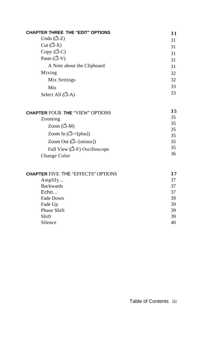| <b>CHAPTER THREE THE "EDIT" OPTIONS</b> | 31 |
|-----------------------------------------|----|
| Undo $(\Box$ -Z)                        | 31 |
| Cut $(\Box$ -X)                         | 31 |
| Copy (C)                                | 31 |
| Paste $(\vec{u} - v)$                   | 31 |
| A Note about the Clipboard              | 31 |
| Mixing                                  | 32 |
| Mix Settings                            | 32 |
| Mix                                     | 33 |
| Select All $(\Box - A)$                 | 33 |

| <b>CHAPTER FOUR THE "VIEW" OPTIONS</b> | 35 |
|----------------------------------------|----|
| Zooming                                | 35 |
| Zoom $(\vec{C}-M)$                     | 35 |
|                                        | 35 |
| Zoom In $(\mathbb{C} + [plus])$        | 35 |
| Zoom Out $(\Box - \{\text{minus}\})$   | 35 |
| Full View (C-F) Oscilloscope           | 35 |
| Change Color                           | 36 |

| <b>CHAPTER FIVE THE "EFFECTS" OPTIONS</b> | 37 |
|-------------------------------------------|----|
| Amplify                                   | 37 |
| <b>Backwards</b>                          | 37 |
| Echo                                      | 37 |
| Fade Down                                 | 39 |
| Fade Up                                   | 39 |
| Phase Shift                               | 39 |
| Shift                                     | 39 |
| Silence                                   | 40 |
|                                           |    |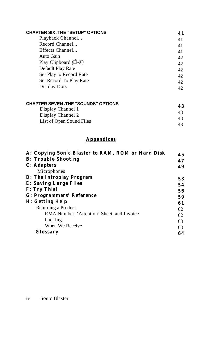| <b>CHAPTER SIX THE "SETUP" OPTIONS</b> | 41 |
|----------------------------------------|----|
| Playback Channel                       | 41 |
| Record Channel                         | 41 |
| Effects Channel                        | 41 |
| Auto Gain                              | 42 |
| Play Clipboard $(\triangle X)$         | 42 |
| Default Play Rate                      | 42 |
| Set Play to Record Rate                | 42 |
| Set Record To Play Rate                | 42 |
| Display Dots                           | 42 |

| <b>CHAPTER SEVEN THE "SOUNDS" OPTIONS</b> | 43  |
|-------------------------------------------|-----|
| Display Channel 1                         |     |
| Display Channel 2                         | 43. |
| List of Open Sound Files                  | 43. |
|                                           | 43  |

# **Appendices**

| A: Copying Sonic Blaster to RAM, ROM or Hard Disk | 45 |
|---------------------------------------------------|----|
| <b>B: Trouble Shooting</b>                        | 47 |
| C: Adapters                                       | 49 |
| Microphones                                       |    |
| D: The Introplay Program                          | 53 |
| E: Saving Large Files                             | 54 |
| F: Try This!                                      | 56 |
| G: Programmers' Reference                         | 59 |
| H: Getting Help                                   | 61 |
| Returning a Product                               | 62 |
| RMA Number, 'Attention' Sheet, and Invoice        | 62 |
| Packing                                           | 63 |
| When We Receive                                   | 63 |
| Glossary                                          | 64 |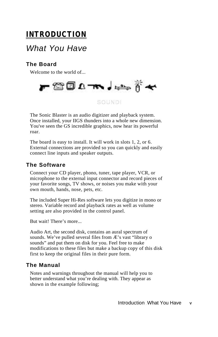# <span id="page-7-0"></span>**INTRODUCTION**

# *What You Have*

# **The Board**

Welcome to the world of...



# SOUND!

The Sonic Blaster is an audio digitizer and playback system. Once installed, your IIGS thunders into a whole new dimension. You've seen the GS incredible graphics, now hear its powerful roar.

The board is easy to install. It will work in slots 1, 2, or 6. External connections are provided so you can quickly and easily connect line inputs and speaker outputs.

### **The Software**

Connect your CD player, phono, tuner, tape player, VCR, or microphone to the external input connector and record pieces of your favorite songs, TV shows, or noises you make with your own mouth, hands, nose, pets, etc.

The included Super Hi-Res software lets you digitize in mono or stereo. Variable record and playback rates as well as volume setting are also provided in the control panel.

But wait! There's more...

Audio Art, the second disk, contains an aural spectrum of sounds. We've pulled several files from Æ's vast "library o sounds" and put them on disk for you. Feel free to make modifications to these files but make a backup copy of this disk first to keep the original files in their pure form.

### **The Manual**

Notes and warnings throughout the manual will help you to better understand what you're dealing with. They appear as shown in the example following;

Introduction What You Have **v**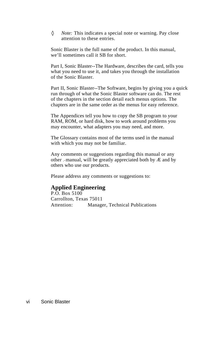♦ *Note:* This indicates a special note or warning. Pay close attention to these entries.

Sonic Blaster is the full name of the product. In this manual, we'll sometimes call it SB for short.

Part I, Sonic Blaster--The Hardware, describes the card, tells you what you need to use it, and takes you through the installation of the Sonic Blaster.

Part II, Sonic Blaster--The Software, begins by giving you a quick run through of what the Sonic Blaster software can do. The rest of the chapters in the section detail each menus options. The chapters are in the same order as the menus for easy reference.

The Appendices tell you how to copy the SB program to your RAM, ROM, or hard disk, how to work around problems you may encounter, what adapters you may need, and more.

The Glossary contains most of the terms used in the manual with which you may not be familiar.

Any comments or suggestions regarding this manual or any other ,-manual, will be greatly appreciated both by  $E$  and by others who use our products.

Please address any comments or suggestions to:

### **Applied Engineering**

P.O. Box 5100 Carrollton, Texas 75011 Attention: Manager, Technical Publications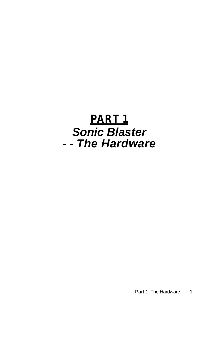# **PART 1** *Sonic Blaster* - - *The Hardware*

Part 1 - The Hardware 1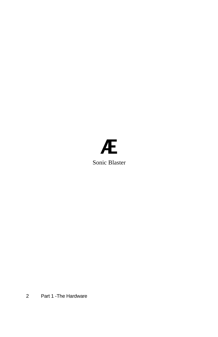# Æ Sonic Blaster

2 Part 1 -The Hardware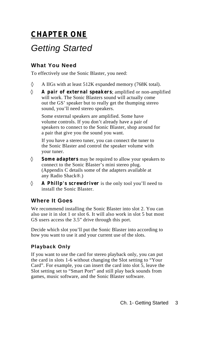# <span id="page-11-0"></span>**CHAPTER ONE**

# *Getting Started*

## **What You Need**

To effectively use the Sonic Blaster, you need:

A IIGs with at least 512K expanded memory (768K total).

**A pair of external speakers**; amplified or non-amplified will work. The Sonic Blasters sound will actually come out the GS' speaker but to really get the thumping stereo sound, you'll need stereo speakers.

Some external speakers are amplified. Some have volume controls. If you don't already have a pair of speakers to connect to the Sonic Blaster, shop around for a pair that give you the sound you want.

If you have a stereo tuner, you can connect the tuner to the Sonic Blaster and control the speaker volume with your tuner.

**Some adapters** may be required to allow your speakers to connect to the Sonic Blaster's mini stereo plug. (Appendix C details some of the adapters available at any Radio Shack®.)

**A Phillp's screwdriver** is the only tool you'll need to install the Sonic Blaster.

## **Where It Goes**

We recommend installing the Sonic Blaster into slot 2. You can also use it in slot 1 or slot 6. It will also work in slot 5 but most GS users access the 3.5" drive through this port.

Decide which slot you'll put the Sonic Blaster into according to how you want to use it and your current use of the slots.

### **Playback Only**

If you want to use the card for stereo playback only, you can put the card in slots 1-6 without changing the Slot setting to "Your Card". For example, you can insert the card into slot 5, leave the Slot setting set to "Smart Port" and still play back sounds from games, music software, and the Sonic Blaster software.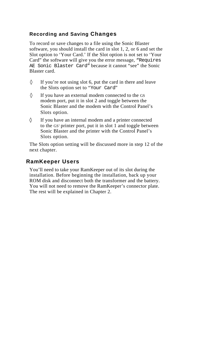#### <span id="page-12-0"></span>**Recording and Saving Changes**

To record or save changes to a file using the Sonic Blaster software, you should install the card in slot 1, 2, or 6 and set the Slot option to 'Your Card.' If the Slot option is not set to 'Your Card" the software will give you the error message, "Requires AE Sonic Blaster Card" because it cannot "see" the Sonic Blaster card.

If you're not using slot 6, put the card in there and leave the Slots option set to "Your Card"

If you have an external modem connected to the GS modem port, put it in slot 2 and toggle between the Sonic Blaster and the modem with the Control Panel's Slots option.

If you have an internal modem and a printer connected to the GS' printer port, put it in slot 1 and toggle between Sonic Blaster and the printer with the Control Panel's Slots option.

The Slots option setting will be discussed more in step 12 of the next chapter.

#### **RamKeeper Users**

You'll need to take your RamKeeper out of its slot during the installation. Before beginning the installation, back up your ROM disk and disconnect both the transformer and the battery. You will not need to remove the RamKeeper's connector plate. The rest will be explained in Chapter 2.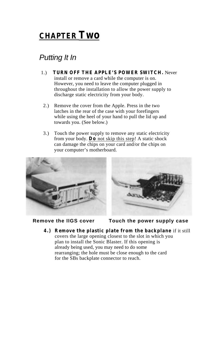# <span id="page-13-0"></span>**CHAPTER Two**

# *Putting It In*

- 1.) **TURN OFF THE APPLE'S POWER SWITCH.** Never install or remove a card while the computer is on. However, you need to leave the computer plugged in throughout the installation to allow the power supply to discharge static electricity from your body.
- 2.) Remove the cover from the Apple. Press in the two latches in the rear of the case with your forefingers while using the heel of your hand to pull the lid up and towards you. (See below.)
- 3.) Touch the power supply to remove any static electricity from your body. **Do** not skip this step! A static shock can damage the chips on your card and/or the chips on your computer's motherboard.



**Remove the IIGS cover Touch the power supply case**

**4.) Remove the plastic plate from the backplane** if it still covers the large opening closest to the slot in which you plan to install the Sonic Blaster. If this opening is already being used, you may need to do some rearranging; the hole must be close enough to the card for the SBs backplate connector to reach.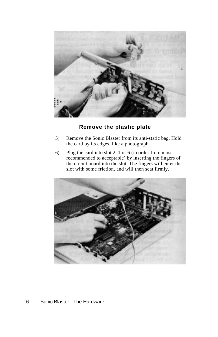

## **Remove the plastic plate**

- 5) Remove the Sonic Blaster from its anti-static bag. Hold the card by its edges, like a photograph.
- 6) Plug the card into slot 2, 1 or 6 (in order from most recommended to acceptable) by inserting the fingers of the circuit board into the slot. The fingers will enter the slot with some friction, and will then seat firmly.



#### 6 Sonic Blaster - The Hardware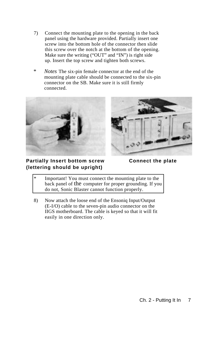- 7) Connect the mounting plate to the opening in the back panel using the hardware provided. Partially insert one screw into the bottom hole of the connector then slide this screw over the notch at the bottom of the opening. Make sure the writing ("OUT" and "IN") is right side up. Insert the top screw and tighten both screws.
- *\* Notes* The six-pin female connector at the end of the mounting plate cable should be connected to the six-pin connector on the SB. Make sure it is still firmly connected.





#### **Partially Insert bottom screw Connect the plate (lettering should be upright)**

Important! You must connect the mounting plate to the back panel of the computer for proper grounding. If you do not, Sonic Blaster cannot function properly.

8) Now attach the loose end of the Ensoniq Input/Output (E-I/O) cable to the seven-pin audio connector on the IIGS motherboard. The cable is keyed so that it will fit easily in one direction only.

Ch. 2 - Putting It In 7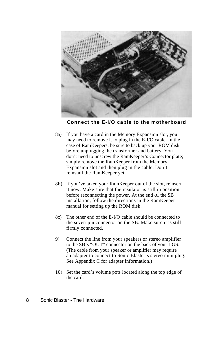

 **Connect the E-I/O cable to the motherboard**

- 8a) If you have a card in the Memory Expansion slot, you may need to remove it to plug in the E-I/O cable. In the case of RamKeepers, be sure to back up your ROM disk before unplugging the transformer and battery. You don't need to unscrew the RamKeeper's Connector plate; simply remove the RamKeeper from the Memory Expansion slot and then plug in the cable. Don't reinstall the RamKeeper yet.
- 8b) If you've taken your RamKeeper out of the slot, reinsert it now. Make sure that the insulator is still in position before reconnecting the power. At the end of the SB installation, follow the directions in the RamKeeper manual for setting up the ROM disk.
- 8c) The other end of the E-I/O cable should be connected to the seven-pin connector on the SB. Make sure it is still firmly connected.
- 9) Connect the line from your speakers or stereo amplifier to the SB's "OUT" connector on the back of your IIGS. (The cable from your speaker or amplifier may require an adapter to connect to Sonic Blaster's stereo mini plug. See Appendix C for adapter information.)
- 10) Set the card's volume pots located along the top edge of the card.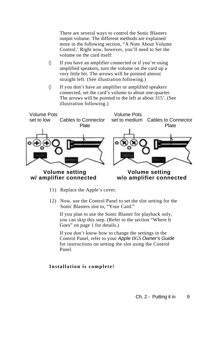There are several ways to control the Sonic Blasters output volume. The different methods are explained more in the following section, "A Note About Volume Control.' Right now, however, you'll need to Set the volume on the card itself:

If you have an amplifier connected or if you're using amplified speakers, turn the volume on the card up a very little bit. The arrows will be pointed almost straight left. (See illustration following.)

If you don't have an amplifier or amplified speakers connected, set the card's volume to about one-quarter. The arrows will be pointed to the left at about 315˚. (See illustration following.)



- 11) Replace the Apple's cover.
- 12) Now, use the Control Panel to set the slot setting for the Sonic Blasters slot to, "Your Card."

If you plan to use the Sonic Blaster for playback only, you can skip this step. (Refer to the section "Where It Goes" on page 1 for details.)

If you don't know how to change the settings in the Control Panel, refer to your *Apple IIGS Owner's Guide*  for instructions on setting the slot using the Control Panel.

#### **Installation is complete!**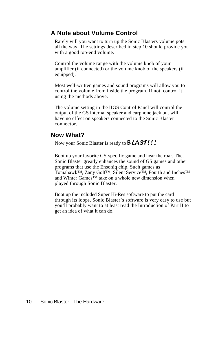## <span id="page-18-0"></span>**A Note about Volume Control**

Rarely will you want to turn up the Sonic Blasters volume pots all the way. The settings described in step 10 should provide you with a good top-end volume.

Control the volume range with the volume knob of your amplifier (if connected) or the volume knob of the speakers (if equipped).

Most well-written games and sound programs will allow you to control the volume from inside the program. If not, control it using the methods above.

The volume setting in the IIGS Control Panel will control the output of the GS internal speaker and earphone jack but will have no effect on speakers connected to the Sonic Blaster connector.

### **Now What?**

Now your Sonic Blaster is ready to **BLAST!!!** 

Boot up your favorite GS-specific game and hear the roar. The. Sonic Blaster greatly enhances the sound of GS games and other programs that use the Ensoniq chip. Such games as Tomahawk™, Zany Golf™, Silent Service™, Fourth and Inches™ and Winter Games™ take on a whole new dimension when played through Sonic Blaster.

Boot up the included Super Hi-Res software to put the card through its loops. Sonic Blaster's software is very easy to use but you'll probably want to at least read the Introduction of Part II to get an idea of what it can do.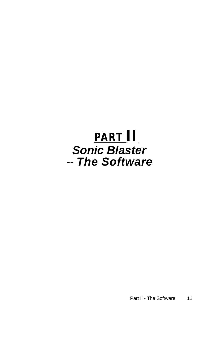# <span id="page-19-0"></span>**PART II** *Sonic Blaster* -- *The Software*

Part II - The Software 11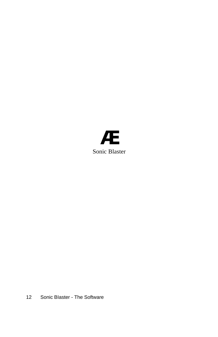

12 Sonic BIaster - The Software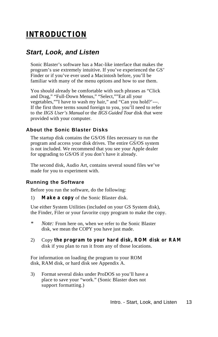# <span id="page-21-0"></span>**INTRODUCTION**

# *Start, Look, and Listen*

Sonic Blaster's software has a Mac-like interface that makes the program's use extremely intuitive. If you've experienced the GS' Finder or if you've ever used a Macintosh before, you'll be familiar with many of the menu options and how to use them.

You should already be comfortable with such phrases as "Click and Drag," "Full-Down Menus," "Select,""Eat all your vegetables,""I have to wash my hair," and "Can you hold?'---. If the first three terms sound foreign to you, you'll need to refer to the *IIGS User's Manual* or the *IIGS Guided Tour* disk that were provided with your computer.

#### **About the Sonic Blaster Disks**

The startup disk contains the GS/OS files necessary to run the program and access your disk drives. The entire GS/OS system is not included. We recommend that you see your Apple dealer for upgrading to GS/OS if you don't have it already.

The second disk, Audio Art, contains several sound files we've made for you to experiment with.

#### **Running the Software**

Before you run the software, do the following:

1) **Make a copy** of the Sonic Blaster disk.

Use either System Utilities (included on your GS System disk), the Finder, Filer or your favorite copy program to make the copy.

- *Note:* From here on, when we refer to the Sonic Blaster disk, we mean the COPY you have just made.
- 2) Copy **the program to your hard disk, ROM disk or RAM** disk if you plan to run it from any of those locations.

For information on loading the program to your ROM disk, RAM disk, or hard disk see Appendix A.

3) Format several disks under ProDOS so you'll have a place to save your "work." (Sonic Blaster does not support formatting.)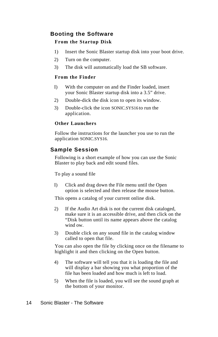### <span id="page-22-0"></span>**Booting the Software From the Startup Disk**

- 1) Insert the Sonic Blaster startup disk into your boot drive.
- 2) Turn on the computer.
- 3) The disk will automatically load the SB software.

#### **From the Finder**

- I) With the computer on and the Finder loaded, insert your Sonic Blaster startup disk into a 3.5" drive.
- 2) Double-dick the disk icon to open its window.
- 3) Double-click the icon SONIC.SYS16 to run the application.

#### **Other Launchers**

Follow the instructions for the launcher you use to run the application SONIC.SYS16.

### **Sample Session**

Following is a short example of how you can use the Sonic Blaster to play back and edit sound files.

To play a sound file

I) Click and drag down the File menu until the Open option is selected and then release the mouse button.

This opens a catalog of your current online disk.

- 2) If the Audio Art disk is not the current disk cataloged, make sure it is an accessible drive, and then click on the "Disk button until its name appears above the catalog wind ow.
- 3) Double click on any sound file in the catalog window called to open that file.

You can also open the file by clicking once on the filename to highlight it and then clicking on the Open button.

- 4) The software will tell you that it is loading the file and will display a bar showing you what proportion of the file has been loaded and how much is left to load.
- 5) When the file is loaded, you will see the sound graph at the bottom of your monitor.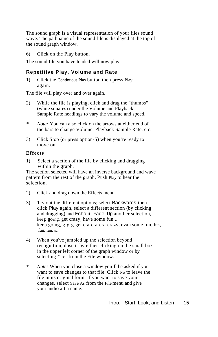<span id="page-23-0"></span>The sound graph is a visual representation of your files sound wave. The pathname of the sound file is displayed at the top of the sound graph window.

6) Click on the Play button.

The sound file you have loaded will now play.

#### **Repetitive Play, Volume and Rate**

1) Click the Continuous Play button then press Play again.

The file will play over and over again.

- 2) While the file is playing, click and drag the "thumbs" (white squares) under the Volume and Playback Sample Rate headings to vary the volume and speed.
- *\* Note:* You can also click on the arrows at either end of the bars to change Volume, Playback Sample Rate, etc.
- 3) Click Stop (or press option-S) when you're ready to move on.

#### **Effects**

1) Select a section of the file by clicking and dragging within the graph.

The section selected will have an inverse background and wave pattern from the rest of the graph. Push Play to hear the selection.

- 2) Click and drag down the Effects menu.
- 3) Try out the different options; select Backwards then click Play again, select a different section (by clicking and dragging) and Echo it, Fade Up another selection, keep going, get crazy, have some fun... keep going, g-g-g-get cra-cra-cra-crazy, evah some fun, fun, fun, fun, fu...
- 4) When you've jumbled up the selection beyond recognition, dose it by either clicking on the small box in the upper left corner of the graph window or by selecting Close from the File window.
- *\* Note;* When you close a window you'll be asked if you want to save changes to that file. Click No to leave the file in its original form. If you want to save your changes, select Save As from the File menu and give your audio art a name.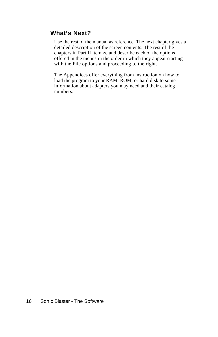# **What's Next?**

Use the rest of the manual as reference. The next chapter gives a detailed description of the screen contents. The rest of the chapters in Part II itemize and describe each of the options offered in the menus in the order in which they appear starting with the File options and proceeding to the right.

The Appendices offer everything from instruction on how to load the program to your RAM, ROM, or hard disk to some information about adapters you may need and their catalog numbers.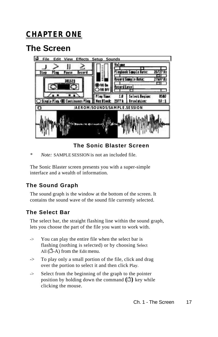# <span id="page-25-0"></span>**CHAPTER ONE**

# **The Screen**



# **The Sonic Blaster Screen**

*Note:* SAMPLE SESSION is not an included file.

The Sonic Blaster screen presents you with a super-simple interface and a wealth of information.

# **The Sound Graph**

The sound graph is the window at the bottom of the screen. It contains the sound wave of the sound file currently selected.

# **The Select Bar**

The select bar, the straight flashing line within the sound graph, lets you choose the part of the file you want to work with.

- -> You can play the entire file when the select bar is flashing (nothing is selected) or by choosing Select All  $(\Box - A)$  from the Edit menu.
- -> To play only a small portion of the file, click and drag over the portion to select it and then click Play.
- -> Select from the beginning of the graph to the pointer position by holding down the command **( )** key while clicking the mouse.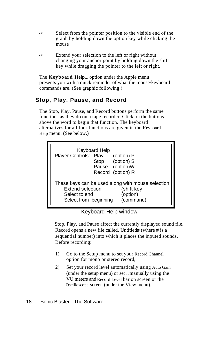- <span id="page-26-0"></span>-> Select from the pointer position to the visible end of the graph by holding down the option key while clicking the mouse
- -> Extend your selection to the left or right without changing your anchor point by holding down the shift key while dragging the pointer to the left or right.

The **Keyboard Help...** option under the Apple menu presents you with a quick reminder of what the mouse/keyboard commands are. (See graphic following.)

## **Stop, Play, Pause, and Record**

The Stop, Play, Pause, and Record buttons perform the same functions as they do on a tape recorder. Click on the buttons above the word to begin that function. The keyboard alternatives for all four functions are given in the Keyboard Help menu. (See below.)

| Keyboard Help<br>Player Controls: Play            | (option) P<br>Stop (option) S<br>Pause (option)W |
|---------------------------------------------------|--------------------------------------------------|
| These keys can be used along with mouse selection | Record (option) R                                |
| Extend selection                                  | (shift key                                       |
| Select to end                                     | (option)                                         |
| Select from beginning                             | (command)                                        |

Keyboard Help window

Stop, Play, and Pause affect the currently displayed sound file. Record opens a new file called, Untitled# (where # is a sequential number) into which it places the inputed sounds. Before recording:

- 1) Go to the Setup menu to set your Record Channel option for mono or stereo record,
- 2) Set your record level automatically using Auto Gain (under the setup menu) or set it manually using the VU meters and Record Level bar on screen or the Oscilloscope screen (under the View menu).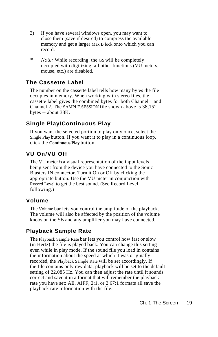- <span id="page-27-0"></span>3) If you have several windows open, you may want to close them (save if desired) to compress the available memory and get a larger Max B lock onto which you can record.
- *\* Note:* While recording, the GS will be completely occupied with digitizing; all other functions (VU meters, mouse, etc.) are disabled.

# **The Cassette Label**

The number on the cassette label tells how many bytes the file occupies in memory. When working with stereo files, the cassette label gives the combined bytes for both Channel 1 and Channel 2. The SAMPLE.SESSION file shown above is 38,152 bytes -- about 38K.

# **Single Play/Continuous Play**

If you want the selected portion to play only once, select the Single Play button. If you want it to play in a continuous loop, click the **Continuous Play** button.

# **VU On/VU Off**

The VU meter is a visual representation of the input levels being sent from the device you have connected to the Sonic Blasters IN connector. Turn it On or Off by clicking the appropriate button. Use the VU meter in conjunction with Record Level to get the best sound. (See Record Level following.)

## **Volume**

The Volume bar lets you control the amplitude of the playback. The volume will also be affected by the position of the volume knobs on the SB and any amplifier you may have connected.

## **Playback Sample Rate**

The Playback Sample Rate bar lets you control how fast or slow (in Hertz) the file is played back. You can change this setting even while in play mode. If the sound file you load in contains the information about the speed at which it was originally recorded, the Playback Sample Rate will be set accordingly. If the file contains only raw data, playback will be set to the default setting of 22,085 Hz. You can then adjust the rate until it sounds correct and save it in a format that will remember the playback rate you have set; AE, AIFF, 2:1, or 2.67:1 formats all save the playback rate information with the file.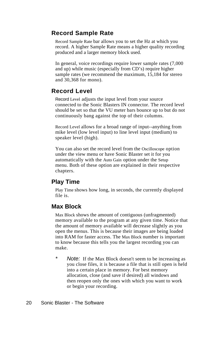# <span id="page-28-0"></span>**Record Sample Rate**

Record Sample Rate bar allows you to set the Hz at which you record. A higher Sample Rate means a higher quality recording produced and a larger memory block used.

In general, voice recordings require lower sample rates (7,000 and up) while music (especially from CD's) require higher sample rates (we recommend the maximum, 15,184 for stereo and 30,368 for mono).

## **Record Level**

Record Level adjusts the input level from your source connected to the Sonic Blasters IN connector. The record level should be set so that the VU meter bars bounce up to but do not continuously bang against the top of their columns.

Record Level allows for a broad range of input--anything from mike level (low level input) to line level input (medium) to speaker level (high).

You can also set the record level from the Oscilloscope option under the view menu or have Sonic Blaster set it for you automatically with the Auto Gain option under the Setup menu. Both of these option are explained in their respective chapters.

## **Play Time**

Play Time shows how long, in seconds, the currently displayed file is.

## **Max Block**

Max Block shows the amount of contiguous (unfragmented) memory available to the program at any given time. Notice that the amount of memory available will decrease slightly as you open the menus. This is because their images are being loaded into RAM for faster access. The Max Block number is important to know because this tells you the largest recording you can make.

*Note:* If the Max Block doesn't seem to be increasing as you close files, it is because a file that is still open is held into a certain place in memory. For best memory allocation, close (and save if desired) all windows and then reopen only the ones with which you want to work or begin your recording.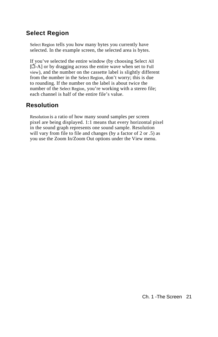# <span id="page-29-0"></span>**Select Region**

Select Region tells you how many bytes you currently have selected. In the example screen, the selected area is bytes.

If you've selected the entire window (by choosing Select All  $[\vec{C}-A]$  or by dragging across the entire wave when set to Full view), and the number on the cassette label is slightly different from the number in the Select Region, don't worry; this is due to rounding. If the number on the label is about twice the number of the Select Region, you're working with a stereo file; each channel is half of the entire file's value.

# **Resolution**

Resolution is a ratio of how many sound samples per screen pixel are being displayed. 1:1 means that every horizontal pixel in the sound graph represents one sound sample. Resolution will vary from file to file and changes (by a factor of 2 or .5) as you use the Zoom In/Zoom Out options under the View menu.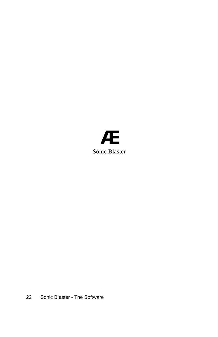

22 Sonic BIaster - The Software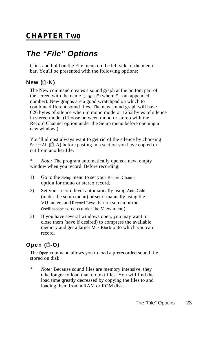# <span id="page-31-0"></span>**CHAPTER Two**

# *The "File" Options*

Click and hold on the File menu on the left side of the menu bar. You'll be presented with the following options:

# **New ( -N)**

The New command creates a sound graph at the bottom part of the screen with the name Untitled# (where # is an appended number). New graphs are a good scratchpad on which to combine different sound files. The new sound graph will have 626 bytes of silence when in mono mode or 1252 bytes of silence in stereo mode. (Choose between mono or stereo with the Record Channel option under the Setup menu before opening a new window.)

You'll almost always want to get rid of the silence by choosing Select All  $(\Box - A)$  before pasting in a section you have copied or cut from another file.

*\* Note:* The program automatically opens a new, empty window when you record. Before recording:

- 1) Go to the Setup menu to set your Record Channel option for mono or stereo record,
- 2) Set your record level automatically using Auto Gain (under the setup menu) or set it manually using the VU meters and Record Level bar on screen or the Oscilloscope screen (under the View menu).
- 3) If you have several windows open, you may want to close them (save if desired) to compress the available memory and get a larger Max Block onto which you can record.

# **Open ( -O)**

The Open command allows you to load a prerecorded sound file stored on disk.

*Note:* Because sound files are memory intensive, they take longer to load than do text files. You will find the load time greatly decreased by copying the files to and loading them from a RAM or ROM disk.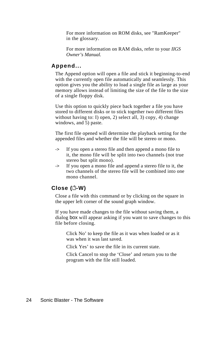For more information on ROM disks, see "RamKeeper" in the glossary.

For more information on RAM disks, refer to your *IIGS Owner's Manual.*

#### <span id="page-32-0"></span>**Append...**

The Append option will open a file and stick it beginning-to-end with the currently open file automatically and seamlessly. This option gives you the ability to load a single file as large as your memory allows instead of limiting the size of the file to the size of a single floppy disk.

Use this option to quickly piece back together a file you have stored to different disks or to stick together two different files without having to: I) open, 2) select all, 3) copy, 4) change windows, and 5) paste.

The first file opened will determine the playback setting for the appended files and whether the file will be stereo or mono.

- -> If you open a stereo file and then append a mono file to it, the mono file will be split into two channels (not true stereo but split mono).
- -> If you open a mono file and append a stereo file to it, the two channels of the stereo file will be combined into one mono channel.

## **Close ( -W)**

Close a file with this command or by clicking on the square in the upper left corner of the sound graph window.

If you have made changes to the file without saving them, a dialog box will appear asking if you want to save changes to this file before closing.

Click No' to keep the file as it was when loaded or as it was when it was last saved.

Click Yes' to save the file in its current state.

Click Cancel to stop the 'Close' and return you to the program with the file still loaded.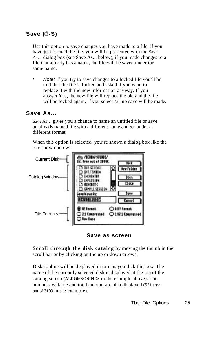# <span id="page-33-0"></span>**Save ( -S)**

Use this option to save changes you have made to a file, if you have just created the file, you will be presented with the Save As.. dialog box (see Save As... below), if you made changes to a file that already has a name, the file will be saved under the same name.

*Note:* If you try to save changes to a locked file you'll be told that the file is locked and asked if you want to replace it with the new information anyway. If you answer Yes, the new file will replace the old and the file will be locked again. If you select No, no save will be made.

#### **Save As...**

Save As... gives you a chance to name an untitled file or save an already named file with a different name and /or under a different format.

When this option is selected, you're shown a dialog box like the one shown below:



**Save as screen**

**Scroll through the disk catalog** by moving the thumb in the scroll bar or by clicking on the up or down arrows.

Disks online will be displayed in turn as you dick this box. The name of the currently selected disk is displayed at the top of the catalog screen (AEROM/SOUNDS in the example above). The amount available and total amount are also displayed (551 free out of 3199 in the example).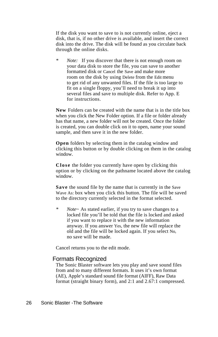<span id="page-34-0"></span>If the disk you want to save to is not currently online, eject a disk, that is, if no other drive is available, and insert the correct disk into the drive. The disk will be found as you circulate back through the online disks.

*\* Note:* If you discover that there is not enough room on your data disk to store the file, you can save to another formatted disk or Cancel the Save and make more room on the disk by using Delete from the Edit menu to get rid of any unwanted files. If the file is too large to fit on a single floppy, you'll need to break it up into several files and save to multiple disk. Refer to App. E for instructions.

**New** Folders can be created with the name that is in the title box when you click the New Folder option. If a file or folder already has that name, a new folder will not be created. Once the folder is created, you can double click on it to open, name your sound sample, and then save it in the new folder.

**Open** folders by selecting them in the catalog window and clicking this button or by double clicking on them in the catalog window.

**Close** the folder you currently have open by clicking this option or by clicking on the pathname located above the catalog window.

**Save** the sound file by the name that is currently in the Save Wave As: box when you click this button. The file will be saved to the directory currently selected in the format selected.

*\* Note~* As stated earlier, if you try to save changes to a locked file you'll be told that the file is locked and asked if you want to replace it with the new information anyway. If you answer Yes, the new file will replace the old and the file will be locked again. If you select No, no save will be made.

Cancel returns you to the edit mode.

#### Formats Recognized

The Sonic Blaster software lets you play and save sound files from and to many different formats. It uses it's own format (AE), Apple's standard sound file format (AIFF), Raw Data format (straight binary form), and 2:1 and 2.67:1 compressed.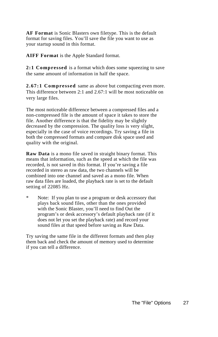**AF Format** is Sonic Blasters own filetype. This is the default format for saving files. You'll save the file you want to use as your startup sound in this format.

**AIFF Format** is the Apple Standard format.

**2:1 Compressed** is a format which does some squeezing to save the same amount of information in half the space.

**2.67:1 Compressed** same as above but compacting even more. This difference between 2:1 and 2.67:1 will be most noticeable on very large files.

The most noticeable difference between a compressed files and a non-compressed file is the amount of space it takes to store the file. Another difference is that the fidelity may be slightly decreased by the compression. The quality loss is very slight, especially in the case of voice recordings. Try saving a file in both the compressed formats and compare disk space used and quality with the original.

**Raw Data** is a mono file saved in straight binary format. This means that information, such as the speed at which the file was recorded, is not saved in this format. If you're saving a file recorded in stereo as raw data, the two channels will be combined into one channel and saved as a mono file. When raw data files are loaded, the playback rate is set to the default setting of 22085 Hz.

\* Note: If you plan to use a program or desk accessory that plays back sound files, other than the ones provided with the Sonic Blaster, you'll need to find Out the program's or desk accessory's default playback rate (if it does not let you set the playback rate) and record your sound files at that speed before saving as Raw Data.

Try saving the same file in the different formats and then play them back and check the amount of memory used to determine if you can tell a difference.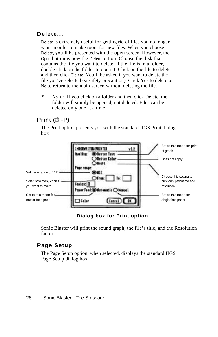### **Delete...**

Delete is extremely useful for getting rid of files you no longer want in order to make room for new files. When you choose Delete, you'll be presented with the open screen. However, the Open button is now the Delete button. Choose the disk that contains the file you want to delete. If the file is in a folder, double click on the folder to open it. Click on the file to delete and then click Delete. You'll be asked if you want to delete the file you've selected ~a safety precaution). Click Yes to delete or No to return to the main screen without deleting the file.

*\* Note~* If you click on a folder and then click Delete, the folder will simply be opened, not deleted. Files can be deleted only one at a time.

## **Print (<del></del><sup>1</sup> -P)**

The Print option presents you with the standard IIGS Print dialog box.



**Dialog box for Print option** 

Sonic Blaster will print the sound graph, the file's title, and the Resolution factor.

### **Page Setup**

The Page Setup option, when selected, displays the standard IIGS Page Setup dialog box.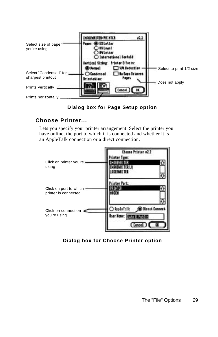



### **Choose Printer...**

Lets you specify your printer arrangement. Select the printer you have online, the port to which it is connected and whether it is an AppleTalk connection or a direct connection.



### **Dialog box for Choose Printer option**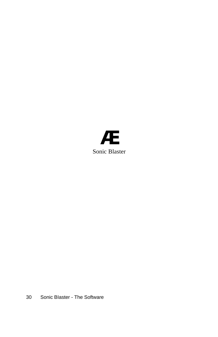

30 Sonic BIaster - The Software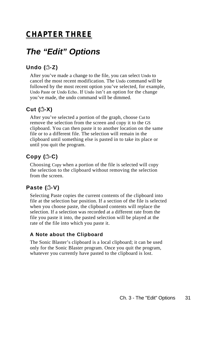## **CHAPTER THREE**

# *The "Edit" Options*

## **Undo ( -Z)**

After you've made a change to the file, you can select Undo to cancel the most recent modification. The Undo command will be followed by the most recent option you've selected, for example, Undo Paste or Undo Echo. If Undo isn't an option for the change you've made, the undo command will be dimmed.

## **Cut ( -X)**

After you've selected a portion of the graph, choose Cut to remove the selection from the screen and copy it to the GS clipboard. You can then paste it to another location on the same file or to a different file. The selection will remain in the clipboard until something else is pasted in to take its place or until you quit the program.

## **Copy ( -C)**

Choosing Copy when a portion of the file is selected will copy the selection to the clipboard without removing the selection from the screen.

## **Paste ( -V)**

Selecting Paste copies the current contents of the clipboard into file at the selection bar position. If a section of the file is selected when you choose paste, the clipboard contents will replace the selection. If a selection was recorded at a different rate from the file you paste it into, the pasted selection will be played at the rate of the file into which you paste it.

### **A Note about the Clipboard**

The Sonic Blaster's clipboard is a local clipboard; it can be used only for the Sonic Blaster program. Once you quit the program, whatever you currently have pasted to the clipboard is lost.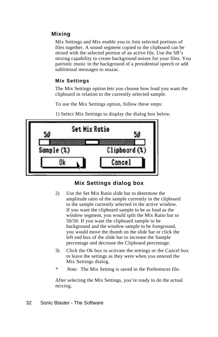### **Mixing**

Mix Settings and Mix enable you to Join selected portions of files together. A sound segment copied to the clipboard can be mixed with the selected portion of an active file. Use the SB's mixing capability to create background noises for your files. You patriotic music in the background of a presidential speech or add subliminal messages to muzac.

### **Mix Settings**

The Mix Settings option lets you choose how loud you want the clipboard in relation to the currently selected sample.

To use the Mix Settings option, follow these steps:

|            | <b>Set Mix Ratio</b> | 50            |
|------------|----------------------|---------------|
| Sample (%) |                      | Clipboard (%) |
|            |                      | Cancel        |

1) Select Mix Settings to display the dialog box below.

### **Mix Settings dialog box**

- 2) Use the Set Mix Ratio slide bar to determine the amplitude ratio of the sample currently in the clipboard to the sample currently selected in the active window. If you want the clipboard sample to be as loud as the window segment, you would split the Mix Ratio bar to 50/50. If you want the clipboard sample to be background and the window sample to be foreground, you would move the thumb on the slide bar or click the left end box of the slide bar to increase the Sample percentage and decrease the Clipboard percentage.
- 3) Click the Ok box to activate the settings or the Cancel box to leave the settings as they were when you entered the Mix Settings dialog.
- *\* Note:* The Mix Setting is saved in the Preferences file.

After selecting the Mix Settings, you're ready to do the actual mixing.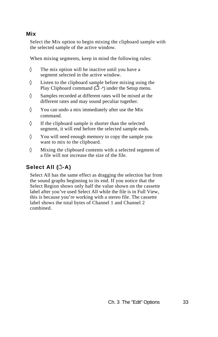### **Mix**

Select the Mix option to begin mixing the clipboard sample with the selected sample of the active window.

When mixing segments, keep in mind the following rules:

The mix option will be inactive until you have a segment selected in the active window.

Listen to the clipboard sample before mixing using the Play Clipboard command  $(\mathring{\Box}^*')$  under the Setup menu.

Samples recorded at different rates will be mixed at the different rates and may sound peculiar together.

You can undo a mix immediately after use the Mix command.

If the clipboard sample is shorter than the selected segment, it will end before the selected sample ends.

You will need enough memory to copy the sample you want to mix to the clipboard.

Mixing the clipboard contents with a selected segment of a file will not increase the size of the file.

## **Select All ( -A)**

Select All has the same effect as dragging the selection bar from the sound graphs beginning to its end. If you notice that the Select Region shows only half the value shown on the cassette label after you've used Select All while the file is in Full View, this is because you're working with a stereo file. The cassette label shows the total bytes of Channel 1 and Channel 2 combined.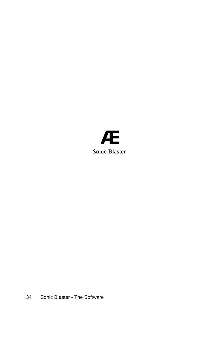

34 Sonic BIaster - The Software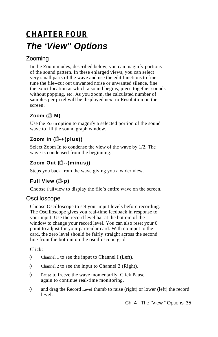# **CHAPTER FOUR** *The 'View" Options*

## Zooming

In the Zoom modes, described below, you can magnify portions of the sound pattern. In these enlarged views, you can select very small parts of the wave and use the edit functions to fine tune the file--cut out unwanted noise or unwanted silence, fine the exact location at which a sound begins, piece together sounds without popping, etc. As you zoom, the calculated number of samples per pixel will be displayed next to Resolution on the screen.

## **Zoom ( -M)**

Use the Zoom option to magnify a selected portion of the sound wave to fill the sound graph window.

## **Zoom In ( -+(plus))**

Select Zoom In to condense the view of the wave by 1/2. The wave is condensed from the beginning.

## **Zoom Out ( --(minus))**

Steps you back from the wave giving you a wider view.

## **Full View (<del></del> •p)**

Choose Full view to display the file's entire wave on the screen.

## **Oscilloscope**

Choose Oscilloscope to set your input levels before recording. The Oscilloscope gives you real-time feedback in response to your input. Use the record level bar at the bottom of the window to change your record level. You can also reset your 0 point to adjust for your particular card. With no input to the card, the zero level should be fairly straight across the second line from the bottom on the oscilloscope grid.

### Click:

Channel 1 to see the input to Channel I (Left).

Channel 2 to see the input to Channel 2 (Right).

Pause to freeze the wave momentarily. Click Pause again to continue real-time monitoring.

and drag the Record Level thumb to raise (right) or lower (left) the record level.

Ch. 4 - The "View " Options 35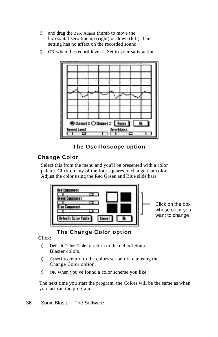and drag the Zero Adjust thumb to move the horizontal zero line up (right) or down (left). This setting has no affect on the recorded sound.

OK when the record level is Set to your satisfaction.



**The Oscilloscope option**

### **Change Color**

Select this from the menu and you'll be presented with a color palette. Click on any of the four squares to change that color. Adjust the color using the Red Green and Blue slide bars.



### **The Change Color option**

Click:

Default Color Table to return to the default Sonic Blaster colors.

Cancel to return to the colors set before choosing the Change Color option.

OK when you've found a color scheme you like.

The next time you start the program, the Colors will be the same as when you last ran the program.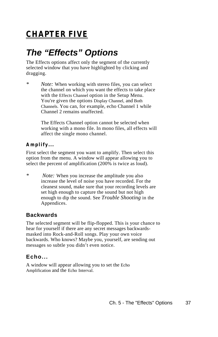# **CHAPTER FIVE**

# *The "Effects" Options*

The Effects options affect only the segment of the currently selected window that you have highlighted by clicking and dragging.

*\* Note:* When working with stereo files, you can select the channel on which you want the effects to take place with the Effects Channel option in the Setup Menu. You're given the options Display Channel, and Both Channels. You can, for example, echo Channel 1 while Channel 2 remains unaffected.

> The Effects Channel option cannot be selected when working with a mono file. In mono files, all effects will affect the single mono channel.

### **Amplify...**

First select the segment you want to amplify. Then select this option from the menu. A window will appear allowing you to select the percent of amplification (200% is twice as loud).

*\* Note:* When you increase the amplitude you also increase the level of noise you have recorded. For the cleanest sound, make sure that your recording levels are set high enough to capture the sound but not high enough to dip the sound. See *Trouble Shooting* in the Appendices.

### **Backwards**

The selected segment will be flip-flopped. This is your chance to hear for yourself if there are any secret messages backwardsmasked into Rock-and-Roll songs. Play your own voice backwards. Who knows? Maybe you, yourself, are sending out messages so subtle you didn't even notice.

### **Echo...**

A window will appear allowing you to set the Echo Amplification and the Echo Interval.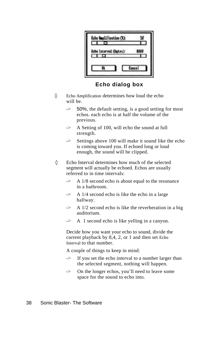| <b>Replification (3):</b>   |              |
|-----------------------------|--------------|
| Echo Interval (bytes):<br>᠇ |              |
|                             | <b>Cence</b> |

**Echo dialog box**

Echo Amplification determines how loud the echo will be.

- -> 50%, the default setting, is a good setting for most echos. each echo is at half the volume of the previous.
- -> A Setting of 100, will echo the sound at full strength.
- -> Settings above 100 will make it sound like the echo is coming toward you. If echoed long or loud enough, the sound will be clipped.

Echo Interval determines how much of the selected segment will actually be echoed. Echos are usually referred to in time intervals:

- -> A 1/8 second echo is about equal to the resonance in a bathroom.
- -> A 1/4 second echo is like the echo in a large hallway.
- -> A 1/2 second echo is like the reverberation in a big auditorium.
- -> A 1 second echo is like yelling in a canyon.

Decide how you want your echo to sound, divide the current playback by 8,4, 2, or 1 and then set Echo Interval to that number.

A couple of things to keep in mind:

- -> If you set the echo interval to a number larger than the selected segment, nothing will happen.
- -> On the longer echos, you'll need to leave some space for the sound to echo into.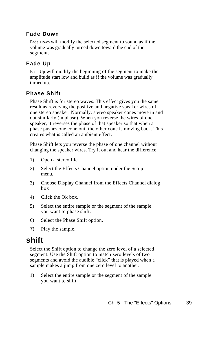### **Fade Down**

Fade Down will modify the selected segment to sound as if the volume was gradually turned down toward the end of the segment.

### **Fade Up**

Fade Up will modify the beginning of the segment to make the amplitude start low and build as if the volume was gradually turned up.

### **Phase Shift**

Phase Shift is for stereo waves. This effect gives you the same result as reversing the positive and negative speaker wires of one stereo speaker. Normally, stereo speaker cones move in and out similarly (in phase). When you reverse the wires of one speaker, it reverses the phase of that speaker so that when a phase pushes one cone out, the other cone is moving back. This creates what is called an ambient effect.

Phase Shift lets you reverse the phase of one channel without changing the speaker wires. Try it out and hear the difference.

- 1) Open a stereo file.
- 2) Select the Effects Channel option under the Setup menu.
- 3) Choose Display Channel from the Effects Channel dialog box.
- 4) Click the Ok box.
- 5) Select the entire sample or the segment of the sample you want to phase shift.
- 6) Select the Phase Shift option.
- 7) Play the sample.

## **shift**

Select the Shift option to change the zero level of a selected segment. Use the Shift option to match zero levels of two segments and avoid the audible "click" that is played when a sample makes a jump from one zero level to another.

1) Select the entire sample or the segment of the sample you want to shift.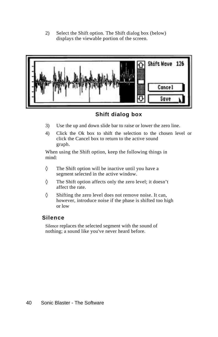2) Select the Shift option. The Shift dialog box (below) displays the viewable portion of the screen.



**Shift dialog box**

- 3) Use the up and down slide bar to raise or lower the zero line.
- 4) Click the Ok box to shift the selection to the chosen level or click the Cancel box to return to the active sound graph.

When using the Shift option, keep the following things in mind:

The Shift option will be inactive until you have a segment selected in the active window.

The Shift option affects only the zero level; it doesn't affect the rate.

Shifting the zero level does not remove noise. It can, however, introduce noise if the phase is shifted too high or low

### **Silence**

Silence replaces the selected segment with the sound of nothing; a sound like you've never heard before.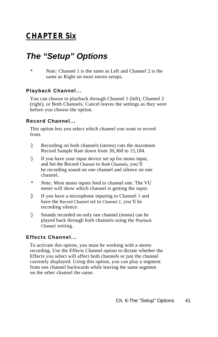## **CHAPTER Six**

# *The "Setup" Options*

*\* Note;* Channel 1 is the same as Left and Channel 2 is the same as Right on most stereo setups.

### **Playback Channel...**

You can choose to playback through Channel 1 (left), Channel 2 (right), or Both Channels. Cancel leaves the settings as they were before you choose the option.

### **Record Channel...**

This option lets you select which channel you want to record from.

Recording on both channels (stereo) cuts the maximum Record Sample Rate down from 30,368 to 15,184.

If you have your input device set up for mono input, and Set the Record Channel to Both Channels, you'll be recording sound on one channel and silence on one channel.

- *\* Note;* Most mono inputs feed to channel one. The VU meter will show which channel is getting the input.
- ♦ If you have a microphone inputing to Channel 1 and have the Record Channel set to Channel 2, you'll be recording silence.

Sounds recorded on only one channel (mono) can be played back through both channels using the Playback Channel setting.

### **Effects Channel...**

To activate this option, you must be working with a stereo recording. Use the Effects Channel option to dictate whether the Effects you select will affect both channels or just the channel currently displayed. Using this option, you can play a segment from one channel backwards while leaving the same segment on the other channel the same.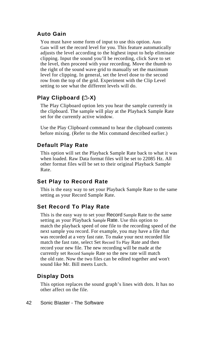### **Auto Gain**

You must have some form of input to use this option. Auto Gain will set the record level for you. This feature automatically adjusts the level according to the highest input to help eliminate clipping. Input the sound you'll be recording, click Save to set the level, then proceed with your recording. Move the thumb to the right of the sound wave grid to manually set the maximum level for clipping. In general, set the level dose to the second row from the top of the grid. Experiment with the Clip Level setting to see what the different levels will do.

## **Play Clipboard ( -X)**

The Play Clipboard option lets you hear the sample currently in the clipboard. The sample will play at the Playback Sample Rate set for the currently active window.

Use the Play Clipboard command to hear the clipboard contents before mixing. (Refer to the Mix command described earlier.)

### **Default Play Rate**

This option will set the Playback Sample Rate back to what it was when loaded. Raw Data format files will be set to 22085 Hz. All other format files will be set to their original Playback Sample Rate.

### **Set Play to Record Rate**

This is the easy way to set your Playback Sample Rate to the same setting as your Record Sample Rate.

### **Set Record To Play Rate**

This is the easy way to set your Record Sample Rate to the same setting as your Playback Sample Rate. Use this option to match the playback speed of one file to the recording speed of the next sample you record. For example, you may have a file that was recorded at a very fast rate. To make your next recorded file match the fast rate, select Set Record To Play Rate and then record your new file. The new recording will be made at the currently set Record Sample Rate so the new rate will match the old rate. Now the two files can be edited together and won't sound like Mr. Bill meets Lurch.

### **Display Dots**

This option replaces the sound graph's lines with dots. It has no other affect on the file.

### 42 Sonic BIaster - The Software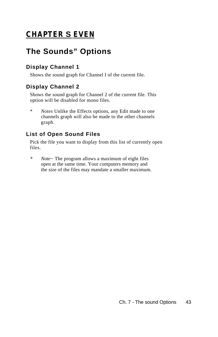# **CHAPTER S EVEN**

# **The Sounds" Options**

## **Display Channel 1**

Shows the sound graph for Channel I of the current file.

## **Display Channel 2**

Shows the sound graph for Channel 2 of the current file. This option will be disabled for mono files.

\* *Notes* Unlike the Effects options, any Edit made to one channels graph will also be made to the other channels graph.

## **List of Open Sound Files**

Pick the file you want to display from this list of currently open files.

*\* Note~* The program allows a maximum of eight files open at the same time. Your computers memory and the size of the files may mandate a smaller maximum.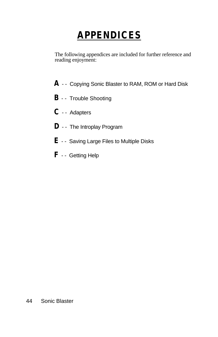# **APPENDICES**

The following appendices are included for further reference and reading enjoyment:

- **A**  - Copying Sonic Blaster to RAM, ROM or Hard Disk
- **B**  - Trouble Shooting
- **C**  - Adapters
- **D**  - The Introplay Program
- **E**  - Saving Large Files to Multiple Disks
- **F**  - Getting Help

### 44 Sonic Blaster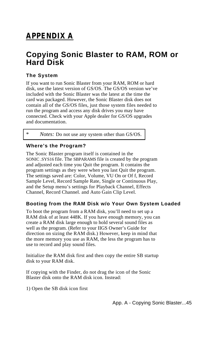# **APPENDIX A**

## **Copying Sonic Blaster to RAM, ROM or Hard Disk**

### **The System**

If you want to run Sonic Blaster from your RAM, ROM or hard disk, use the latest version of GS/OS. The GS/OS version we've included with the Sonic Blaster was the latest at the time the card was packaged. However, the Sonic Blaster disk does not contain all of the GS/OS files, just those system files needed to run the program and access any disk drives you may have connected. Check with your Apple dealer for GS/OS upgrades and documentation.

\**Notes:* Do not use any system other than GS/OS.

### **Where's the Program?**

The Sonic Blaster program itself is contained in the SONIC .SYS16 file. The SBPARAMS file is created by the program and adjusted each time you Quit the program. It contains the program settings as they were when you last Quit the program. The settings saved are: Color, Volume, VU On or Of f, Record Sample Level, Record Sample Rate, Single or Continuous Play, and the Setup menu's settings for Playback Channel, Effects Channel, Record Channel. and Auto Gain Clip Level.

### **Booting from the RAM Disk w/o Your Own System Loaded**

To boot the program from a RAM disk, you'll need to set up a RAM disk of at least 448K. If you have enough memory, you can create a RAM disk large enough to hold several sound files as well as the program. (Refer to your IIGS Owner's Guide for direction on sizing the RAM disk.) However, keep in mind that the more memory you use as RAM, the less the program has to use to record and play sound files.

Initialize the RAM disk first and then copy the entire SB startup disk to your RAM disk.

If copying with the Finder, do not drag the icon of the Sonic Blaster disk onto the RAM disk icon. Instead:

1) Open the SB disk icon first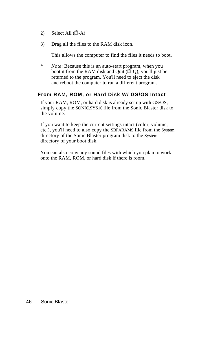- 2) Select All  $(\vec{\Box} \cdot A)$
- 3) Drag all the files to the RAM disk icon.

This allows the computer to find the files it needs to boot.

\* *Note*: Because this is an auto-start program, when you boot it from the RAM disk and Quit  $(\overline{1} - Q)$ , you'll just be returned to the program. You'll need to eject the disk and reboot the computer to run a different program.

### **From RAM, ROM, or Hard Disk W/ GS/OS Intact**

If your RAM, ROM, or hard disk is already set up with GS/OS, simply copy the SONIC.SYS16 file from the Sonic Blaster disk to the volume.

If you want to keep the current settings intact (color, volume, etc.), you'll need to also copy the SBPARAMS file from the System directory of the Sonic Blaster program disk to the System directory of your boot disk.

You can also copy any sound files with which you plan to work onto the RAM, ROM, or hard disk if there is room.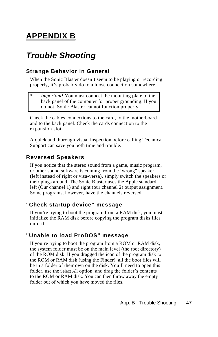# **APPENDIX B**

# *Trouble Shooting*

## **Strange Behavior in General**

When the Sonic Blaster doesn't seem to be playing or recording properly, it's probably do to a loose connection somewhere.

*Important!* You must connect the mounting plate to the back panel of the computer for proper grounding. If you do not, Sonic Blaster cannot function properly.

Check the cables connections to the card, to the motherboard and to the back panel. Check the cards connection to the expansion slot.

A quick and thorough visual inspection before calling Technical Support can save you both time and trouble.

### **Reversed Speakers**

If you notice that the stereo sound from a game, music program, or other sound software is coming from the 'wrong" speaker (left instead of right or visa-versa), simply switch the speakers or their plugs around. The Sonic Blaster uses the Apple standard left (Our channel 1) and right (our channel 2) output assignment. Some programs, however, have the channels reversed.

## **"Check startup device" message**

If you're trying to boot the program from a RAM disk, you must initialize the RAM disk before copying the program disks files onto it.

## **"Unable to load ProDOS" message**

If you're trying to boot the program from a ROM or RAM disk, the system folder must be on the main level (the root directory) of the ROM disk. If you dragged the icon of the program disk to the ROM or RAM disk (using the Finder), all the boot files will be in a folder of their own on the disk. You'll need to open this folder, use the Select All option, and drag the folder's contents to the ROM or RAM disk. You can then throw away the empty folder out of which you have moved the files.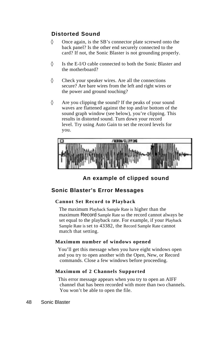### **Distorted Sound**

Once again, is the SB's connector plate screwed onto the back panel? Is the other end securely connected to the card? If not, the Sonic Blaster is not grounding properly.

Is the E-I/O cable connected to both the Sonic Blaster and the motherboard?

Check your speaker wires. Are all the connections secure? Are bare wires from the left and right wires or the power and ground touching?

Are you clipping the sound? If the peaks of your sound waves are flattened against the top and/or bottom of the sound graph window (see below), you're clipping. This results in distorted sound. Turn down your record level. Try using Auto Gain to set the record levels for you.



**An example of clipped sound**

### **Sonic Blaster's Error Messages**

### **Cannot Set Record to Playback**

The maximum Playback Sample Rate is higher than the maximum Record Sample Rate so the record cannot always be set equal to the playback rate. For example, if your Playback Sample Rate is set to 43382, the Record Sample Rate cannot match that setting.

### **Maximum number of windows opened**

You'll get this message when you have eight windows open and you try to open another with the Open, New, or Record commands. Close a few windows before proceeding.

### **Maximum of 2 Channels Supported**

This error message appears when you try to open an AIFF channel that has been recorded with more than two channels. You won't be able to open the file.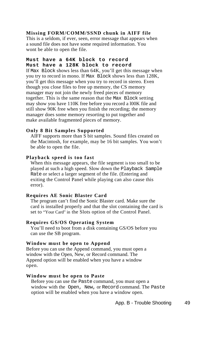#### **Missing FORM/COMM/SSND chunk in AIFF file**

This is a seldom, if ever, seen, error message that appears when a sound file does not have some required information. You wont be able to open the file.

### **Must have a 64K block to record Must have a 128K block to record**

If Max Block shows less than 64K, you'll get this message when you try to record in mono. If Max Block shows less than 128K, you'll get this message when you try to record in stereo. Even though you close files to free up memory, the CS memory manager may not join the newly freed pieces of memory together. This is the same reason that the Max Block setting may show you have 110K free before you record a l00K file and still show 90K free when you finish the recording; the memory manager does some memory resorting to put together and make available fragmented pieces of memory.

#### **Only 8 Bit Samples Supported**

AIFF supports more than S bit samples. Sound files created on the Macintosh, for example, may be 16 bit samples. You won't be able to open the file.

#### **Playback speed is too fast**

When this message appears, the file segment is too small to be played at such a high speed. Slow down the Playback Sample Rate or select a larger segment of the file. (Entering and exiting the Control Panel while playing can also cause this error).

### **Requires AE Sonic Blaster Card**

The program can't find the Sonic Blaster card. Make sure the card is installed properly and that the slot containing the card is set to "Your Card" in the Slots option of the Control Panel.

#### **Requires GS/OS Operating System**

You'll need to boot from a disk containing GS/OS before you can use the SB program.

#### **Window must be open to Append**

Before you can use the Append command, you must open a window with the Open, New, or Record command. The Append option will be enabled when you have a window open.

#### **Window must be open to Paste**

Before you can use the Paste command, you must open a window with the Open, New, or Record command. The Paste option will be enabled when you have a window open.

App. B - Trouble Shooting 49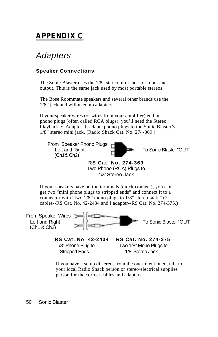# **APPENDIX C**

# *Adapters*

### **Speaker Connections**

The Sonic Blaster uses the 1/8" stereo mini jack for input and output. This is the same jack used by most portable stereos.

The Bose Roommate speakers and several other brands use the 1/8" jack and will need no adapters.

If your speaker wires (or wires from your amplifier) end in phono plugs (often called RCA plugs), you'll need the Stereo Playback Y-Adapter. It adapts phono plugs to the Sonic Blaster's 1/8" stereo mini jack. (Radio Shack Cat. No. 274-369.)

 From Speaker Phono Plugs Left and Right  $\Box$  To Sonic Blaster "OUT" (Ch1& Ch2)



**RS Cat. No. 274-369**  Two Phono (RCA) Plugs to 1/8" Stereo Jack

If your speakers have button terminals (quick connect), you can get two "mini phone plugs to stripped ends" and connect it to a connector with "two 1/8" mono plugs to 1/8" stereo jack." (2 cables--RS Cat. No. 42-2434 and I adapter--RS Cat. No. 274-375.)

From Speaker Wires (Ch1 & Ch2)



Stripped Ends 1/8' Stereo Jack

 **RS Cat. No. 42-2434 RS Cat. No. 274-375** 1/8" Phone Plug to Two 1/8" Mono Plugs to

If you have a setup different from the ones mentioned, talk to your local Radio Shack person or stereo/electrical supplies person for the correct cables and adapters.

50 Sonic Blaster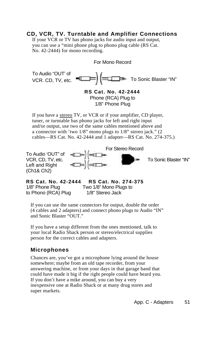### **CD, VCR, TV. Turntable and Amplifier Connections**

If your VCR or TV has phono jacks for audio input and output, you can use a "mini phone plug to phono plug cable (RS Cat. No. 42-2444) for mono recording.

For Mono Record To Audio "OUT' of  $VCR$ . CD, TV, etc.  $T = 1$   $T = 1$  To Sonic Blaster "IN" **RS Cat. No. 42-2444** Phone (RCA) Plug to 1/8" Phone Plug If you have a stereo TV, or VCR or if your amplifier, CD player, tuner, or turntable has phono jacks for left and right input and/or output, use two of the same cables mentioned above and a connector with 'two 1/8" mono plugs to 1/8" stereo jack." (2 cables—RS Cat. No. 42-2444 and 1 adapter—RS Cat. No. 274-375.)

To Audio 'OUT" of Left and Right (Ch1& Ch2)





**RS Cat. No. 42-2444 RS Cat. No. 274-375**  1/8" Phone Plug Two 1/8" Mono Plugs to to Phono (RCA) Plug 1/8" Stereo Jack

If you can use the same connectors for output, double the order (4 cables and 2 adapters) and connect phono plugs to Audio "IN" and Sonic Blaster "OUT."

If you have a setup different from the ones mentioned, talk to your local Radio Shack person or stereo/electrical supplies person for the correct cables and adapters.

### **Microphones**

Chances are, you've got a microphone lying around the house somewhere; maybe from an old tape recorder, from your answering machine, or from your days in that garage band that could have made it big if the right people could have heard you. If you don't have a mike around, you can buy a very inexpensive one at Radio Shack or at many drug stores and super markets.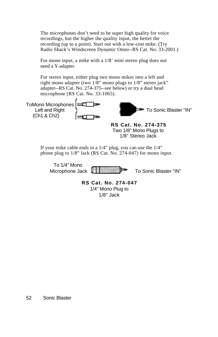The microphones don't need to be super high quality for voice recordings, but the higher the quality input, the better the recording (up to a point). Start out with a low-cost mike. (Try Radio Shack's Windscreen Dynamic Omni--RS Cat. No. 33-2001.)

For mono input, a mike with a 1/8' mini stereo plug does not need a Y-adapter.

For stereo input, either plug two mono mikes into a left and right mono adapter (two 1/8" mono plugs to 1/8" stereo jack" adapter--RS Cat. No. 274-375--see below) or try a dual head microphone (RS Cat. No. 33-1065).



**RS Cat. No. 274-375** Two 1/8" Mono Plugs to 1/8" Stereo Jack

If your mike cable ends in a 1/4" plug, you can use the 1/4" phone plug to 1/8" lack (RS Cat. No. 274-047) for mono input.

To 1/4" Mono



Microphone Jack  $\left[\begin{array}{c|c} 1 & \cdots & \cdots \end{array}\right]$  To Sonic Blaster "IN"

**RS Cat. No. 274-047** 1/4" Mono Plug to 1/8" Jack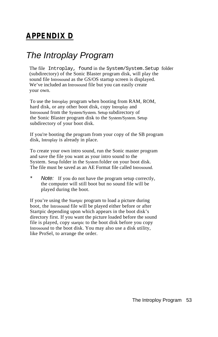# **APPENDIX D**

# *The Introplay Program*

The file Introplay, found in the System/System.Setup folder (subdirectory) of the Sonic Blaster program disk, will play the sound file Introsound as the GS/OS startup screen is displayed. We've included an Introsound file but you can easily create your own.

To use the Introplay program when booting from RAM, ROM, hard disk, or any other boot disk, copy Introplay and Introsound from the System/System. Setup subdirectory of the Sonic Blaster program disk to the System/System. Setup subdirectory of your boot disk.

If you're booting the program from your copy of the SB program disk, Introplay is already in place.

To create your own intro sound, run the Sonic master program and save the file you want as your intro sound to the System. Setup folder in the System folder on your boot disk. The file must be saved as an AE Format file called Introsound.

*Note:* If you do not have the program setup correctly, the computer will still boot but no sound file will be played during the boot.

If you're using the Startpic program to load a picture during boot, the Introsound file will be played either before or after Startpic depending upon which appears in the boot disk's directory first. If you want the picture loaded before the sound file is played, copy startpic to the boot disk before you copy Introsound to the boot disk. You may also use a disk utility, like ProSel, to arrange the order.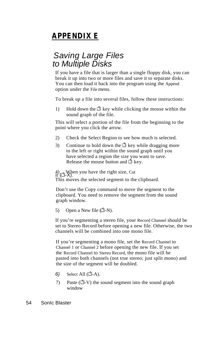# **APPENDIX E**

## *Saving Large Files to Multiple Disks*

If you have a file that is larger than a single floppy disk, you can break it up into two or more files and save it to separate disks. You can then load it back into the program using the Append option under the File menu.

To break up a file into several files, follow these instructions:

1) Hold down the  $\Box$  key while clicking the mouse within the sound graph of the file.

This will select a portion of the file from the beginning to the point where you click the arrow.

- 2) Check the Select Region to see how much is selected.
- 3) Continue to hold down the  $\vec{u}$  key while dragging more to the left or right within the sound graph until you have selected a region the size you want to save. Release the mouse button and  $\Box$  key.

 $\begin{array}{c} (4) \\ \text{it} \ (\Box \mathbf{-X}). \end{array}$  When you have the right size, Cut This moves the selected segment to the clipboard.

Don't use the Copy command to move the segment to the clipboard. You need to remove the segment from the sound graph window.

5) Open a New file  $(\Box - N)$ .

If you're segmenting a stereo file, your Record Channel should be set to Stereo Record before opening a new file. Otherwise, the two channels will be combined into one mono file.

If you're segmenting a mono file, set the Record Channel to Channel 1 or Channel 2 before opening the new file. If you set the Record Channel to Stereo Record, the mono file will be pasted into both channels (not true stereo; just split mono) and the size of the segment will be doubled.

- $6)$  Select All  $(\Box A)$ .
- 7) Paste  $(\vec{C}-V)$  the sound segment into the sound graph window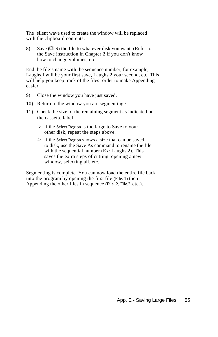The 'silent wave used to create the window will be replaced with the clipboard contents.

8) Save  $(\vec{\Box} - S)$  the file to whatever disk you want. (Refer to the Save instruction in Chapter 2 if you don't know how to change volumes, etc.

End the file's name with the sequence number, for example, Laughs.I will be your first save, Laughs.2 your second, etc. This will help you keep track of the files' order to make Appending easier.

- 9) Close the window you have just saved.
- 10) Return to the window you are segmenting.\
- 11) Check the size of the remaining segment as indicated on the cassette label.
	- -> If the Select Region is too large to Save to your other disk, repeat the steps above.
	- -> If the Select Region shows a size that can be saved to disk, use the Save As command to rename the file with the sequential number (Ex: Laughs.2). This saves the extra steps of cutting, opening a new window, selecting all, etc.

Segmenting is complete. You can now load the entire file back into the program by opening the first file (File. 1) then Appending the other files in sequence (File .2, File.3, etc.).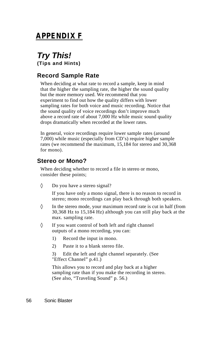## **APPENDIX F**

## *Try This!* **(Tips and Hints)**

### **Record Sample Rate**

When deciding at what rate to record a sample, keep in mind that the higher the sampling rate, the higher the sound quality but the more memory used. We recommend that you experiment to find out how the quality differs with lower sampling rates for both voice and music recording. Notice that the sound quality of voice recordings don't improve much above a record rate of about 7,000 Hz while music sound quality drops dramatically when recorded at the lower rates.

In general, voice recordings require lower sample rates (around 7,000) while music (especially from CD's) require higher sample rates (we recommend the maximum, 15,184 for stereo and 30,368 for mono).

### **Stereo or Mono?**

When deciding whether to record a file in stereo or mono, consider these points;

Do you have a stereo signal?

If you have only a mono signal, there is no reason to record in stereo; mono recordings can play back through both speakers.

In the stereo mode, your maximum record rate is cut in half (from 30,368 Hz to 15,184 Hz) although you can still play back at the max. sampling rate.

If you want control of both left and right channel outputs of a mono recording, you can:

- 1) Record the input in mono.
- 2) Paste it to a blank stereo file.

3) Edit the left and right channel separately. (See "Effect Channel" p.41.)

This allows you to record and play back at a higher sampling rate than if you make the recording in stereo. (See also, "Traveling Sound" p. 56.)

56 Sonic Blaster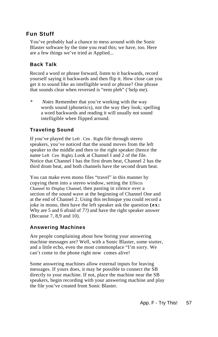### **Fun Stuff**

You've probably had a chance to mess around with the Sonic Blaster software by the time you read this; we have, too. Here are a few things we've tried at Applied...

### **Back Talk**

Record a word or phrase forward, listen to it backwards, record yourself saying it backwards and then flip it. How close can you get it to sound like an intelligible word or phrase? One phrase that sounds clear when reversed is "eem pleh" ('help me).

*\* Notes* Remember that you're working with the way words sound (phonetics), not the way they look; spelling a word backwards and reading it will usually not sound intelligible when flipped around.

### **Traveling Sound**

If you've played the Left . Cen . Right file through stereo speakers, you've noticed that the sound moves from the left speaker to the middle and then to the right speaker (hence the name Left . Cen . Right). Look at Channel I and 2 of the file. Notice that Channel I has the first drum beat, Channel 2 has the third drum beat, and both channels have the second drum beat.

You can make even mono files "travel" in this manner by copying them into a stereo window, setting the Effects Channel to Display Channel, then pasting in silence over a section of the sound wave at the beginning of Channel One and at the end of Channel 2. Using this technique you could record a joke in mono, then have the left speaker ask the question **(ex:** Why are 5 and 6 afraid of *7?)* and have the right speaker answer (Because 7, 8,9 and 10).

### **Answering Machines**

Are people complaining about how boring your answering machine messages are? Well, with a Sonic Blaster, some stutter, and a little echo, even the most commonplace "I'm sorry. We can't come to the phone right now comes alive!

Some answering machines allow external inputs for leaving messages. If yours does, it may be possible to connect the SB directly to your machine. If not, place the machine near the SB speakers, begin recording with your answering machine and play the file you've created from Sonic Blaster.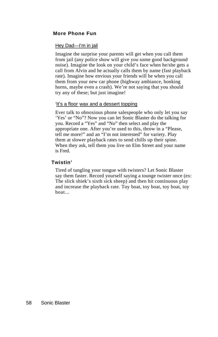### **More Phone Fun**

### Hey Dad—I'm in jail

Imagine the surprise your parents will get when you call them from jail (any police show will give you some good background noise). Imagine the look on your child's face when he/she gets a call from Alvin and he actually calls them by name (fast playback rate). Imagine how envious your friends will be when you call them from your new car phone (highway ambiance, honking horns, maybe even a crash). We're not saying that you should try any of these; but just imagine!

### 'It's a floor wax and a dessert topping

Ever talk to obnoxious phone salespeople who only let you say 'Yes' or "No"? Now you can let Sonic Blaster do the talking for you. Record a "Yes" and "No" then select and play the appropriate one. After you're used to this, throw in a "Please, tell me more!" and an "I'm not interested" for variety. Play them at slower playback rates to send chills up their spine. When they ask, tell them you live on Elm Street and your name is Fred.

### **Twistin'**

Tired of tangling your tongue with twisters? Let Sonic Blaster say them faster. Record yourself saying a tounge twister once (ex: The slick shiek's sixth sick sheep) and then hit continuous play and increase the playback rate. Toy boat, toy boat, toy boat, toy boat...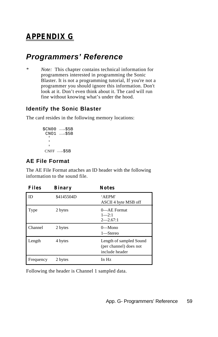# **APPENDIX G**

# *Programmers' Reference*

*\* Note:* This chapter contains technical information for programmers interested in programming the Sonic Blaster. It is not a programming tutorial, If you're not a programmer you should ignore this information. Don't look at it. Don't even think about it. The card will run fine without knowing what's under the hood.

### **Identify the Sonic Blaster**

The card resides in the following memory locations:

```
SCN00 \rightarrow$5B
 CNO1 \rightarrow $5B '
 '
 '
CNFF \rightarrow $5B
```
### **AE File Format**

The AE File Format attaches an ID header with the following information to the sound file.

| <b>Files</b> | Binary     | <b>Notes</b>                                                        |
|--------------|------------|---------------------------------------------------------------------|
| ID           | \$4145504D | 'AEPM'<br>ASCII 4 byte MSB off                                      |
| Type         | 2 bytes    | 0—AE Format<br>$1 - 2:1$<br>$2 - 2.67:1$                            |
| Channel      | 2 bytes    | $0$ —Mono<br>1-Stereo                                               |
| Length       | 4 bytes    | Length of sampled Sound<br>(per channel) does not<br>include header |
| Frequency    | 2 bytes    | In Hz                                                               |

Following the header is Channel 1 sampled data.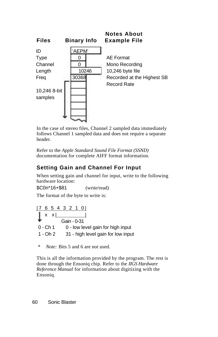

In the case of stereo files, Channel 2 sampled data immediately follows Channel 1 sampled data and does not require a separate header.

Refer to the *Apple Standard Sound File Format (SSND)*  documentation for complete AIFF format information.

## **Setting Gain and Channel For Input**

When setting gain and channel for input, write to the following hardware location:

\$C0n\*16+\$81 (write/read)

The format of the byte to write is:

 $| 76543210 |$  x x | | Gain - 0-31 0 - Ch 1 0 - low level gain for high input 1 - Oh 2 31 - high level gain for low input

*\* Note:* Bits 5 and 6 are not used.

This is all the information provided by the program. The rest is done through the Ensoniq chip. Refer to the *IIGS Hardware Reference Manual* for information about digitizing with the Ensoniq.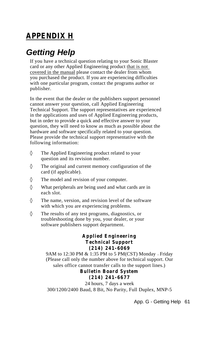# **APPENDIX H**

# *Getting Help*

If you have a technical question relating to your Sonic Blaster card or any other Applied Engineering product that is not covered in the manual please contact the dealer from whom you purchased the product. If you are experiencing difficulties with one particular program, contact the programs author or publisher.

In the event that the dealer or the publishers support personnel cannot answer your question, call Applied Engineering Technical Support. The support representatives are experienced in the applications and uses of Applied Engineering products, but in order to provide a quick and effective answer to your question, they will need to know as much as possible about the hardware and software specifically related to your question. Please provide the technical support representative with the following information:

The Applied Engineering product related to your question and its revision number.

The original and current memory configuration of the card (if applicable).

The model and revision of your computer.

What peripherals are being used and what cards are in each slot.

The name, version, and revision level of the software with which you are experiencing problems.

The results of any test programs, diagnostics, or troubleshooting done by you, your dealer, or your software publishers support department.

### **Applied Engineering Technical Support (214) 241-6069**

9AM to 12:30 PM & 1:35 PM to 5 PM(CST) Monday — Friday (Please call only the number above for technical support. Our sales office cannot transfer calls to the support lines.)

**Bulletin Board System**

### **(214) 241-6677**

24 hours, 7 days a week 300/1200/2400 Baud, 8 Bit, No Parity, Full Duplex, MNP-5

App. G - Getting Help 61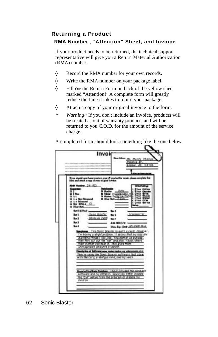## **Returning a Product RMA Number** , **"Attention" Sheet, and Invoice**

If your product needs to be returned, the technical support representative will give you a Return Material Authorization (RMA) number.

Record the RMA number for your own records.

Write the RMA number on your package label.

Fill Out the Return Form on back of the yellow sheet marked "Attention!' A complete form will greatly reduce the time it takes to return your package.

Attach a copy of your original invoice to the form.

*\* Warning~* If you don't include an invoice, products will be treated as out of warranty products and will be returned to you C.O.D. for the amount of the service charge.

A completed form should look something like the one below.

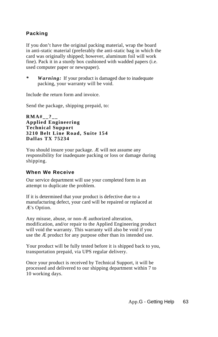### **Packing**

If you don't have the original packing material, wrap the board in anti-static material (preferably the anti-static bag in which the card was originally shipped; however, aluminum foil will work fine). Pack it in a sturdy box cushioned with wadded papers (i.e. used computer paper or newspaper).

*\* Warning:* If your product is damaged due to inadequate packing, your warranty will be void.

Include the return form and invoice.

Send the package, shipping prepaid, to:

```
RMA#__?__
Applied Engineering
Technical Support
3210 Belt Line Road, Suite 154
Dallas TX 75234
```
You should insure your package. Æ will not assume any responsibility for inadequate packing or loss or damage during shipping.

### **When We Receive**

Our service department will use your completed form in an attempt to duplicate the problem.

If it is determined that your product is defective due to a manufacturing defect, your card will be repaired or replaced at Æ's Option.

Any misuse, abuse, or non-Æ authorized alteration, modification, and/or repair to the Applied Engineering product will void the warranty. This warranty will also be void if you use the Æ product for any purpose other than its intended use.

Your product will be fully tested before it is shipped back to you, transportation prepaid, via UPS regular delivery.

Once your product is received by Technical Support, it will be processed and delivered to our shipping department within 7 to 10 working days.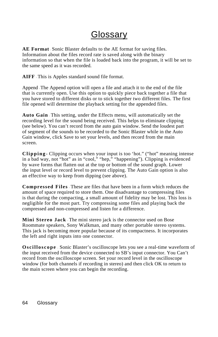## Glossary

**AE Format** - Sonic Blaster defaults to the AE format for saving files. Information about the files record rate is saved along with the binary information so that when the file is loaded back into the program, it will be set to the same speed as it was recorded.

**AIFF** - This is Apples standard sound file format.

Append - The Append option will open a file and attach it to the end of the file that is currently open. Use this option to quickly piece back together a file that you have stored to different disks or to stick together two different files. The first file opened will determine the playback setting for the appended files.

**Auto Gain** - This setting, under the Effects menu, will automatically set the recording level for the sound being received. This helps to eliminate clipping (see below). You can't record from the auto gain window. Send the loudest part of segment of the sounds to be recorded to the Sonic Blaster while in the Auto Gain window, click Save to set your levels, and then record from the main screen.

**Clipping** - Clipping occurs when your input is too 'hot." ("hot" meaning intense in a bad way, not "hot" as in "cool," "hep," "happening"). Clipping is evidenced by wave forms that flatten out at the top or bottom of the sound graph. Lower the input level or record level to prevent clipping. The Auto Gain option is also an effective way to keep from dipping (see above).

**Compressed Files** - These are files that have been in a form which reduces the amount of space required to store them. One disadvantage to compressing files is that during the compacting, a small amount of fidelity may be lost. This loss is negligible for the most part. Try compressing some files and playing back the compressed and non-compressed and listen for a difference.

**Mini Stereo Jack** - The mini stereo jack is the connector used on Bose Roommate speakers, Sony Walkman, and many other portable stereo systems. This jack is becoming more popular because of its compactness. It incorporates the left and right inputs into one connector.

**Oscilloscope** - Sonic Blaster's oscilloscope lets you see a real-time waveform of the input received from the device connected to SB's input connector. You Can't record from the oscilloscope screen. Set your record level in the oscilloscope window (for both channels if recording in stereo) and then click OK to return to the main screen where you can begin the recording.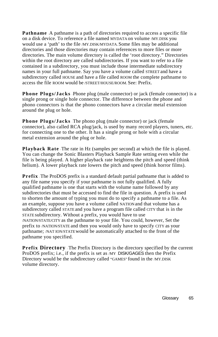**Pathname** A pathname is a path of directories required to access a specific file on a disk device. To reference a file named MYDATA on volume /MY.DISK you would use a 'path' to the file /MY.DISK/MYDATA. Some files may be additional directories and those directories may contain references to more files or more directories. The main volume directory is called the 'root directory." Directories within the root directory are called subdirectories. If you want to refer to a file contained in a subdirectory, you must include those intermediate subdirectory names in your full pathname. Say you have a volume called STREET and have a subdirectory called HOUSE and have a file called ROOM the complete pathname to access the file ROOM would be /STREET/HOUSE/ROOM. See: Prefix.

**Phone Plugs/Jacks** - Phone plug (male connector) or jack (female connector) is a single prong or single hole connector. The difference between the phone and phono connectors is that the phono connectors have a circular metal extension around the plug or hole.

Phone Plugs/Jacks The phono plug (male connector) or jack (female connector), also called RCA plug/jack, is used by many record players, tuners, etc. for connecting one to the other. It has a single prong or hole with a circular metal extension around the plug or hole.

**Playback Rate** - The rate in Hz (samples per second) at which the file is played. You can change the Sonic Blasters Playback Sample Rate setting even while the file is being played. A higher playback rate heightens the pitch and speed (think helium). A lower playback rate lowers the pitch and speed (think horror films).

**Prefix** The ProDOS prefix is a standard default partial pathname that is added to any file name you specify if your pathname is not fully qualified. A fully qualified pathname is one that starts with the volume name followed by any subdirectories that must be accessed to find the file in question. A prefix is used to shorten the amount of typing you must do to specify a pathname to a file. As an example, suppose you have a volume called NATION and that volume has a subdirectory called STATE and you have a program file called CITY that is in the STATE subdirectory. Without a prefix, you would have to use /NATION/STATE/CITY as the pathname to your file. You could, however, Set the prefix to /NATION/STATE and then you would only have to specify CITY as your pathname; /NAT ION/STATE would be automatically attached to the front of the pathname you specified.

**Prefix Directory** The Prefix Directory is the directory specified by the current ProDOS prefix; i.e., if the prefix is set as /MY . DISK/GAGES then the Prefix Directory would be the subdirectory called "GAMES" found in the /MY.DISK volume directory.